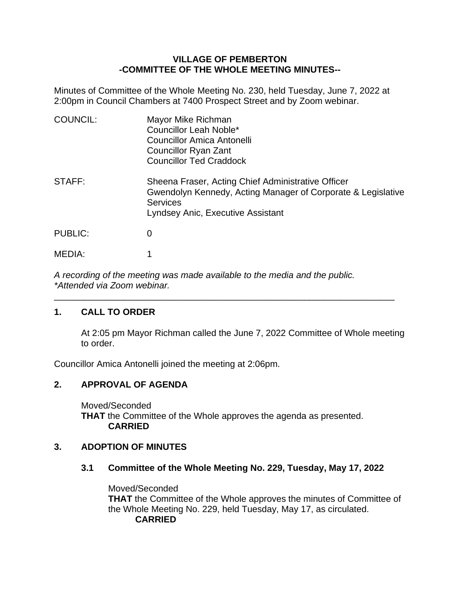### **VILLAGE OF PEMBERTON -COMMITTEE OF THE WHOLE MEETING MINUTES--**

Minutes of Committee of the Whole Meeting No. 230, held Tuesday, June 7, 2022 at 2:00pm in Council Chambers at 7400 Prospect Street and by Zoom webinar.

| <b>COUNCIL:</b> | Mayor Mike Richman<br>Councillor Leah Noble*<br>Councillor Amica Antonelli<br>Councillor Ryan Zant<br><b>Councillor Ted Craddock</b>                                       |
|-----------------|----------------------------------------------------------------------------------------------------------------------------------------------------------------------------|
| STAFF:          | Sheena Fraser, Acting Chief Administrative Officer<br>Gwendolyn Kennedy, Acting Manager of Corporate & Legislative<br><b>Services</b><br>Lyndsey Anic, Executive Assistant |
| <b>PUBLIC:</b>  | 0                                                                                                                                                                          |
| MEDIA:          |                                                                                                                                                                            |

*A recording of the meeting was made available to the media and the public. \*Attended via Zoom webinar.*

\_\_\_\_\_\_\_\_\_\_\_\_\_\_\_\_\_\_\_\_\_\_\_\_\_\_\_\_\_\_\_\_\_\_\_\_\_\_\_\_\_\_\_\_\_\_\_\_\_\_\_\_\_\_\_\_\_\_\_\_\_\_\_\_\_\_\_\_

# **1. CALL TO ORDER**

At 2:05 pm Mayor Richman called the June 7, 2022 Committee of Whole meeting to order.

Councillor Amica Antonelli joined the meeting at 2:06pm.

# **2. APPROVAL OF AGENDA**

Moved/Seconded **THAT** the Committee of the Whole approves the agenda as presented. **CARRIED**

# **3. ADOPTION OF MINUTES**

# **3.1 Committee of the Whole Meeting No. 229, Tuesday, May 17, 2022**

Moved/Seconded **THAT** the Committee of the Whole approves the minutes of Committee of the Whole Meeting No. 229, held Tuesday, May 17, as circulated. **CARRIED**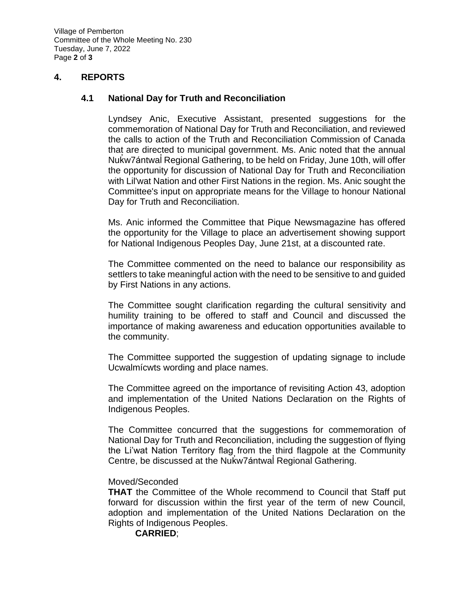Village of Pemberton Committee of the Whole Meeting No. 230 Tuesday, June 7, 2022 Page **2** of **3**

#### **4. REPORTS**

#### **4.1 National Day for Truth and Reconciliation**

Lyndsey Anic, Executive Assistant, presented suggestions for the commemoration of National Day for Truth and Reconciliation, and reviewed the calls to action of the Truth and Reconciliation Commission of Canada that are directed to municipal government. Ms. Anic noted that the annual Nuk ̓w7ántwal ̓ Regional Gathering, to be held on Friday, June 10th, will offer the opportunity for discussion of National Day for Truth and Reconciliation with Lil'wat Nation and other First Nations in the region. Ms. Anic sought the Committee's input on appropriate means for the Village to honour National Day for Truth and Reconciliation.

Ms. Anic informed the Committee that Pique Newsmagazine has offered the opportunity for the Village to place an advertisement showing support for National Indigenous Peoples Day, June 21st, at a discounted rate.

The Committee commented on the need to balance our responsibility as settlers to take meaningful action with the need to be sensitive to and guided by First Nations in any actions.

The Committee sought clarification regarding the cultural sensitivity and humility training to be offered to staff and Council and discussed the importance of making awareness and education opportunities available to the community.

The Committee supported the suggestion of updating signage to include Ucwalmícwts wording and place names.

The Committee agreed on the importance of revisiting Action 43, adoption and implementation of the United Nations Declaration on the Rights of Indigenous Peoples.

The Committee concurred that the suggestions for commemoration of National Day for Truth and Reconciliation, including the suggestion of flying the Li'wat Nation Territory flag from the third flagpole at the Community Centre, be discussed at the Nuk ̓w7ántwal ̓ Regional Gathering.

#### Moved/Seconded

**THAT** the Committee of the Whole recommend to Council that Staff put forward for discussion within the first year of the term of new Council, adoption and implementation of the United Nations Declaration on the Rights of Indigenous Peoples.

**CARRIED**;